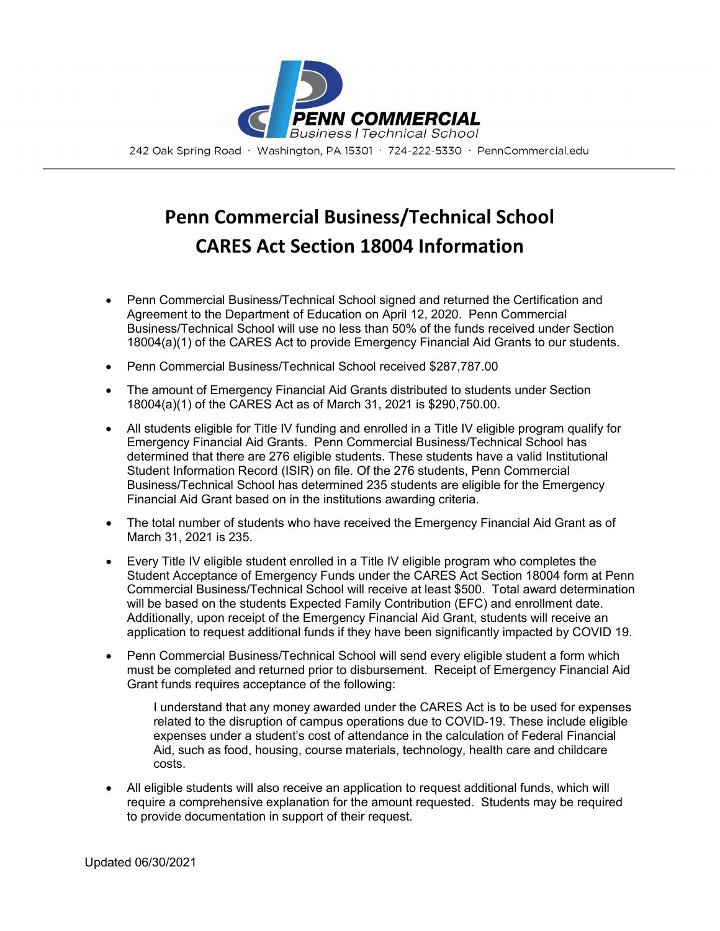

## **Penn Commercial Business/Technical School CARES Act Section 18004 Information**

- Penn Commercial Business/Technical School signed and returned the Certification and Agreement to the Department of Education on April 12, 2020. Penn Commercial Business/Technical School will use no less than 50% of the funds received under Section 18004(a)(1) of the CARES Act to provide Emergency Financial Aid Grants to our students.
- Penn Commercial Business/Technical School received \$287,787.00
- The amount of Emergency Financial Aid Grants distributed to students under Section 18004(a)(1) of the CARES Act as of March 31, 2021 is \$290,750.00.
- All students eligible for Title IV funding and enrolled in a Title IV eligible program qualify for Emergency Financial Aid Grants. Penn Commercial Business/Technical School has determined that there are 276 eligible students. These students have a valid Institutional Student Information Record (ISIR) on file. Of the 276 students, Penn Commercial Business/Technical School has determined 235 students are eligible for the Emergency Financial Aid Grant based on in the institutions awarding criteria.
- The total number of students who have received the Emergency Financial Aid Grant as of March 31, 2021 is 235.
- Every Title IV eligible student enrolled in a Title IV eligible program who completes the Student Acceptance of Emergency Funds under the CARES Act Section 18004 form at Penn Commercial Business/Technical School will receive at least \$500. Total award determination will be based on the students Expected Family Contribution (EFC) and enrollment date. Additionally, upon receipt of the Emergency Financial Aid Grant, students will receive an application to request additional funds if they have been significantly impacted by COVID 19.
- Penn Commercial Business/Technical School will send every eligible student a form which must be completed and returned prior to disbursement. Receipt of Emergency Financial Aid Grant funds requires acceptance of the following:

I understand that any money awarded under the CARES Act is to be used for expenses related to the disruption of campus operations due to COVID-19. These include eligible expenses under a student's cost of attendance in the calculation of Federal Financial Aid, such as food, housing, course materials, technology, health care and childcare costs.

• All eligible students will also receive an application to request additional funds, which will require a comprehensive explanation for the amount requested. Students may be required to provide documentation in support of their request.